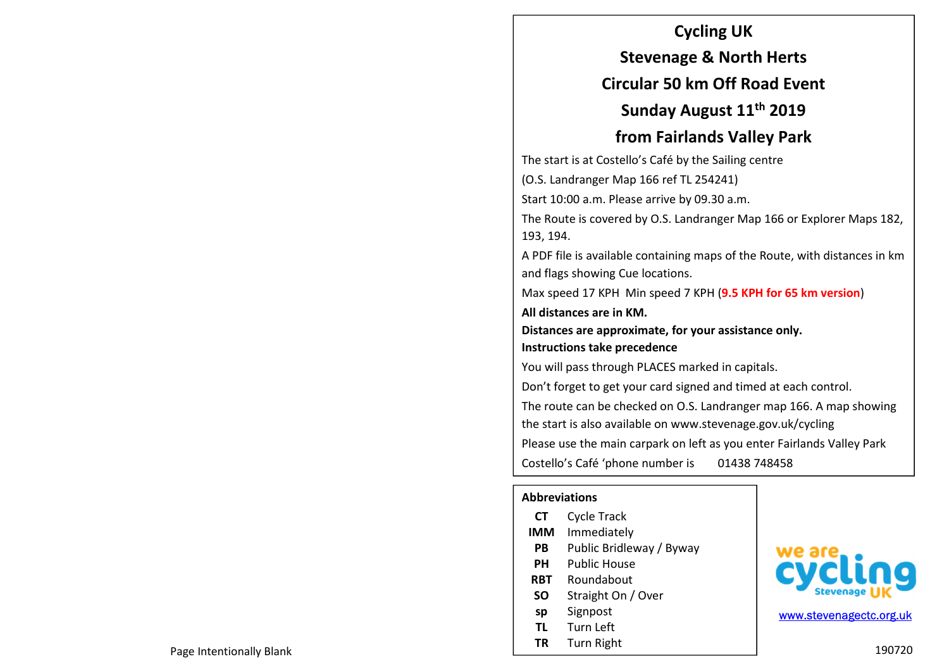#### **Cycling UK**

**Stevenage & North Herts** 

## **Circular 50 km Off Road Event**

**Sunday August 11th 2019** 

## **from Fairlands Valley Park**

The start is at Costello's Café by the Sailing centre

(O.S. Landranger Map 166 ref TL 254241)

Start 10:00 a.m. Please arrive by 09.30 a.m.

The Route is covered by O.S. Landranger Map 166 or Explorer Maps 182, 193, 194.

A PDF file is available containing maps of the Route, with distances in km and flags showing Cue locations.

Max speed 17 KPH Min speed 7 KPH (**9.5 KPH for 65 km version**)

**All distances are in KM.** 

**Distances are approximate, for your assistance only. Instructions take precedence** 

You will pass through PLACES marked in capitals.

Don't forget to get your card signed and timed at each control. The route can be checked on O.S. Landranger map 166. A map showing the start is also available on www.stevenage.gov.uk/cycling Please use the main carpark on left as you enter Fairlands Valley Park

Costello's Café 'phone number is 01438 748458

#### **Abbreviations**

| CТ         | <b>Cycle Track</b>       |
|------------|--------------------------|
| IMM        | Immediately              |
| РB         | Public Bridleway / Byway |
| PН         | Public House             |
| <b>RBT</b> | Roundabout               |
| SΟ         | Straight On / Over       |
| sp         | Signpost                 |
| ΤL         | Turn Left                |
| ΤR         | <b>Turn Right</b>        |



www.stevenagectc.org.uk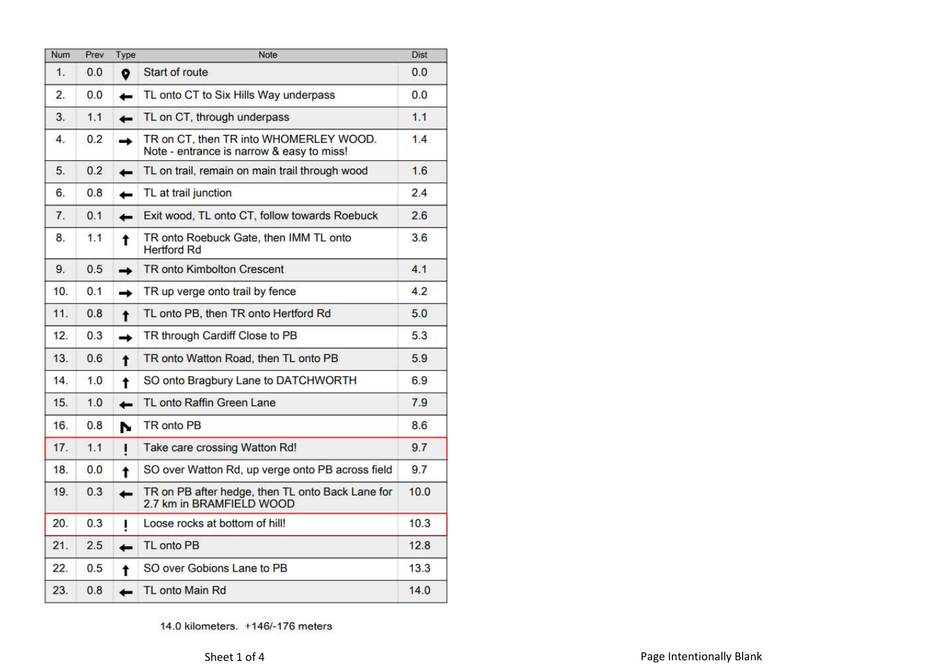| <b>Num</b> | Prev | Type                | Note                                                                                | <b>Dist</b> |
|------------|------|---------------------|-------------------------------------------------------------------------------------|-------------|
| 1.         | 0.0  | $\bullet$           | Start of route                                                                      | 0.0         |
| 2.         | 0.0  | $\leftarrow$        | TL onto CT to Six Hills Way underpass                                               | 0.0         |
| 3.         | 1.1  | $\leftarrow$        | TL on CT, through underpass                                                         | 1.1         |
| 4.         | 0.2  | →                   | TR on CT, then TR into WHOMERLEY WOOD.<br>Note - entrance is narrow & easy to miss! | 1.4         |
| 5.         | 0.2  | $\leftarrow$        | TL on trail, remain on main trail through wood                                      | 1.6         |
| 6.         | 0.8  | ←                   | TL at trail junction                                                                | 2.4         |
| 7.         | 0.1  | ←                   | Exit wood, TL onto CT, follow towards Roebuck                                       | 2.6         |
| 8.         | 1.1  | t                   | TR onto Roebuck Gate, then IMM TL onto<br><b>Hertford Rd</b>                        | 3.6         |
| 9.         | 0.5  | ∸                   | <b>TR</b> onto Kimbolton Crescent                                                   | 4.1         |
| 10.        | 0.1  | →                   | TR up verge onto trail by fence                                                     | 4.2         |
| 11.        | 0.8  | $\ddagger$          | TL onto PB, then TR onto Hertford Rd                                                | 5.0         |
| 12.        | 0.3  | ∸                   | TR through Cardiff Close to PB                                                      | 5.3         |
| 13.        | 0.6  | $\ddot{\mathbf{r}}$ | TR onto Watton Road, then TL onto PB                                                | 5.9         |
| 14.        | 1.0  | t                   | SO onto Bragbury Lane to DATCHWORTH                                                 | 6.9         |
| 15.        | 1.0  | ←                   | TL onto Raffin Green Lane                                                           | 7.9         |
| 16.        | 0.8  | N                   | <b>TR</b> onto PB                                                                   | 8.6         |
| 17.        | 1.1  | $\mathbf I$         | Take care crossing Watton Rd!                                                       | 9.7         |
| 18.        | 0.0  | t                   | SO over Watton Rd, up verge onto PB across field                                    | 9.7         |
| 19.        | 0.3  | <b>.</b>            | TR on PB after hedge, then TL onto Back Lane for<br>2.7 km in BRAMFIELD WOOD        | 10.0        |
| 20.        | 0.3  | ı                   | Loose rocks at bottom of hill!                                                      | 10.3        |
| 21.        | 2.5  | $\leftarrow$        | TL onto PB                                                                          | 12.8        |
| 22.        | 0.5  | t                   | SO over Gobions Lane to PB                                                          | 13.3        |
| 23.        | 0.8  | i                   | TL onto Main Rd                                                                     | 14.0        |

14.0 kilometers. +146/-176 meters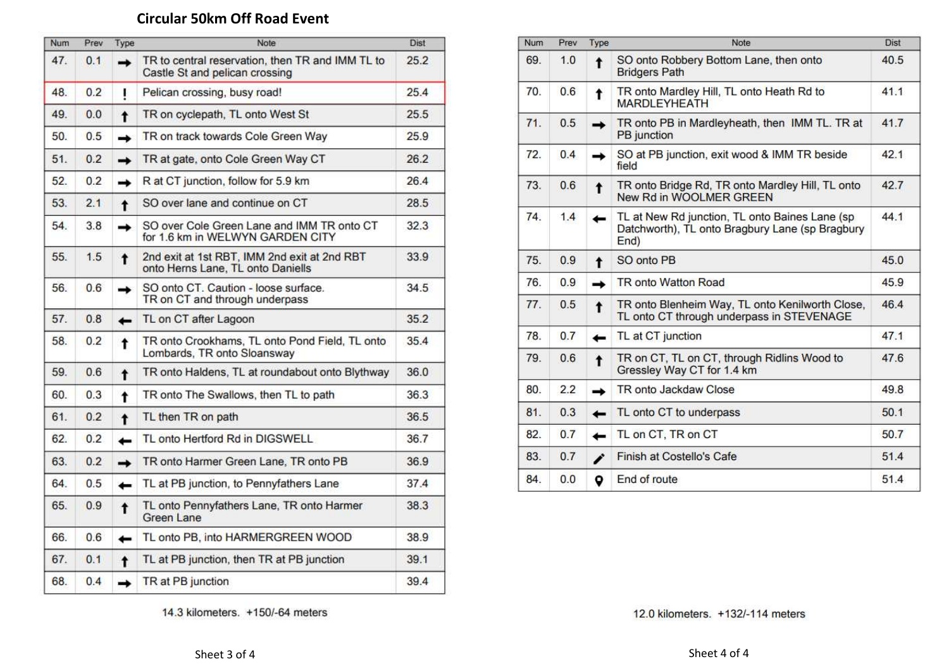# **Circular 50km Off Road Event**

| Num | Prev | Type                     | Note                                                                               | <b>Dist</b> |
|-----|------|--------------------------|------------------------------------------------------------------------------------|-------------|
| 47. | 0.1  | →                        | TR to central reservation, then TR and IMM TL to<br>Castle St and pelican crossing | 25.2        |
| 48. | 0.2  | ı                        | Pelican crossing, busy road!                                                       | 25.4        |
| 49. | 0.0  | $\ddagger$               | TR on cyclepath, TL onto West St                                                   | 25.5        |
| 50. | 0.5  | $\rightarrow$            | TR on track towards Cole Green Way                                                 | 25.9        |
| 51. | 0.2  | $\rightarrow$            | TR at gate, onto Cole Green Way CT                                                 | 26.2        |
| 52. | 0.2  | $\rightarrow$            | R at CT junction, follow for 5.9 km                                                | 26.4        |
| 53. | 2.1  | $\ddagger$               | SO over lane and continue on CT                                                    | 28.5        |
| 54. | 3.8  | ∸                        | SO over Cole Green Lane and IMM TR onto CT<br>for 1.6 km in WELWYN GARDEN CITY     | 32.3        |
| 55. | 1.5  | t                        | 2nd exit at 1st RBT, IMM 2nd exit at 2nd RBT<br>onto Herns Lane, TL onto Daniells  | 33.9        |
| 56. | 0.6  | $\rightarrow$            | SO onto CT. Caution - loose surface.<br>TR on CT and through underpass             | 34.5        |
| 57. | 0.8  | ←                        | TL on CT after Lagoon                                                              | 35.2        |
| 58. | 0.2  | t                        | TR onto Crookhams, TL onto Pond Field, TL onto<br>Lombards, TR onto Sloansway      | 35.4        |
| 59. | 0.6  | $\ddagger$               | TR onto Haldens, TL at roundabout onto Blythway                                    | 36.0        |
| 60. | 0.3  | $\ddagger$               | TR onto The Swallows, then TL to path                                              | 36.3        |
| 61. | 0.2  | t                        | TL then TR on path                                                                 | 36.5        |
| 62. | 0.2  | $\overline{\phantom{0}}$ | TL onto Hertford Rd in DIGSWELL                                                    | 36.7        |
| 63. | 0.2  | $\rightarrow$            | TR onto Harmer Green Lane, TR onto PB                                              | 36.9        |
| 64. | 0.5  | ←                        | TL at PB junction, to Pennyfathers Lane                                            | 37.4        |
| 65. | 0.9  | t                        | TL onto Pennyfathers Lane, TR onto Harmer<br>Green Lane                            | 38.3        |
| 66. | 0.6  | $\leftarrow$             | TL onto PB, into HARMERGREEN WOOD                                                  | 38.9        |
| 67. | 0.1  | t                        | TL at PB junction, then TR at PB junction                                          | 39.1        |
| 68. | 0.4  | →                        | TR at PB junction                                                                  | 39.4        |

| <b>Num</b> | Prev | Type             | Note                                                                                                       | <b>Dist</b> |
|------------|------|------------------|------------------------------------------------------------------------------------------------------------|-------------|
| 69.        | 1.0  | $\ddagger$       | SO onto Robbery Bottom Lane, then onto<br><b>Bridgers Path</b>                                             | 40.5        |
| 70.        | 0.6  | t                | TR onto Mardley Hill, TL onto Heath Rd to<br><b>MARDLEYHEATH</b>                                           | 41.1        |
| 71.        | 0.5  | →                | TR onto PB in Mardleyheath, then IMM TL. TR at<br>PB junction                                              | 41.7        |
| 72.        | 0.4  | →                | SO at PB junction, exit wood & IMM TR beside<br>field                                                      | 42.1        |
| 73.        | 0.6  | $\pmb{\uparrow}$ | TR onto Bridge Rd, TR onto Mardley Hill, TL onto<br>New Rd in WOOLMER GREEN                                | 42.7        |
| 74.        | 1.4  | $\leftarrow$     | TL at New Rd junction, TL onto Baines Lane (sp)<br>Datchworth), TL onto Bragbury Lane (sp Bragbury<br>End) | 44.1        |
| 75.        | 0.9  | $\ddagger$       | SO onto PB                                                                                                 | 45.0        |
| 76.        | 0.9  | →                | <b>TR</b> onto Watton Road                                                                                 | 45.9        |
| 77.        | 0.5  | $\ddagger$       | TR onto Blenheim Way, TL onto Kenilworth Close,<br>TL onto CT through underpass in STEVENAGE               | 46.4        |
| 78.        | 0.7  | ←                | TL at CT junction                                                                                          | 47.1        |
| 79.        | 0.6  | $\ddagger$       | TR on CT, TL on CT, through Ridlins Wood to<br>Gressley Way CT for 1.4 km                                  | 47.6        |
| 80.        | 2.2  | $\rightarrow$    | TR onto Jackdaw Close                                                                                      | 49.8        |
| 81.        | 0.3  | ←                | TL onto CT to underpass                                                                                    | 50.1        |
| 82.        | 0.7  | ←                | TL on CT, TR on CT                                                                                         | 50.7        |
| 83.        | 0.7  | v                | <b>Finish at Costello's Cafe</b>                                                                           | 51.4        |
| 84.        | 0.0  | ۰                | End of route                                                                                               | 51.4        |

14.3 kilometers. +150/-64 meters

12.0 kilometers. +132/-114 meters